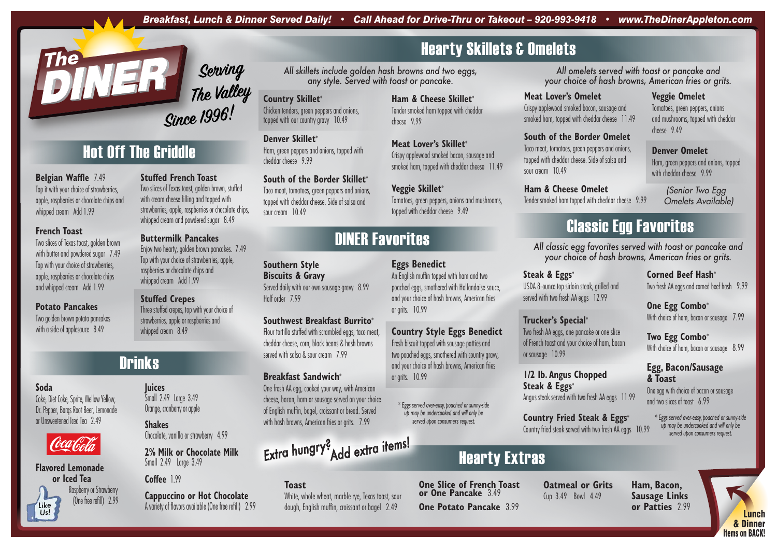## DINER Favorites

## Hearty Extras

## Classic Egg Favorites



Lunch & Dinner Items on BACK!

#### *All omelets served with toast or pancake and your choice of hash browns, American fries or grits.*

#### **Two Egg Combo\*** With choice of ham, bacon or sausage 8.99

*All skillets include golden hash browns and two eggs, any style. Served with toast or pancake.*

#### **Steak & Eggs\*** USDA 8-ounce top sirloin steak, grilled and served with two fresh AA eggs 12.99

*All classic egg favorites served with toast or pancake and your choice of hash browns, American fries or grits.*

### **Corned Beef Hash\*** Two fresh AA eggs and corned beef hash 9.99

Two slices of Texas toast, golden brown, stuffed with cream cheese filling and topped with strawberries, apple, raspberries or chocolate chips, whipped cream and powdered sugar 8.49

## **One Egg Combo\***

With choice of ham, bacon or sausage 7.99

Enjoy two hearty, golden brown pancakes. 7.49 Top with your choice of strawberries, apple, raspberries or chocolate chips and whipped cream Add 1.99

#### **Egg, Bacon/Sausage & Toast**

One egg with choice of bacon or sausage and two slices of toast 6.99

Three stuffed crepes, top with your choice of strawberries, apple or raspberries and whipped cream 8.49

## **Drinks**

### **Trucker's Special\***

Two fresh AA eggs, one pancake or one slice of French toast and your choice of ham, bacon

or sausage 10.99

sour cream 10.49

### **1/2 lb. Angus Chopped**

**Steak & Eggs\*** Angus steak served with two fresh AA eggs 11.99

### **Country Fried Steak & Eggs\***

Country fried steak served with two fresh AA eggs 10.99

### **Stuffed French Toast**

Two golden brown potato pancakes with a side of applesauce 8.49

Ham, green peppers and onions, topped with cheddar cheese 9.99

Taco meat, tomatoes, green peppers and onions, topped with cheddar cheese. Side of salsa and sour cream 10.49

#### **Buttermilk Pancakes**

#### **Stuffed Crepes**

#### **Southern Style**

**Biscuits & Gravy**

Served daily with our own sausage gravy 8.99 Half order 7.99

Ham, green peppers and onions, topped with cheddar cheese 9.99

#### **Southwest Breakfast Burrito\***

Flour tortilla stuffed with scrambled eggs, taco meat, cheddar cheese, corn, black beans & hash browns served with salsa & sour cream 7.99

#### **Breakfast Sandwich\***

One fresh AA egg, cooked your way, with American cheese, bacon, ham or sausage served on your choice of English muffin, bagel, croissant or bread. Served with hash browns, American fries or grits. 7.99

#### **Belgian Waffle** 7.49

Top it with your choice of strawberries, apple, raspberries or chocolate chips and whipped cream Add 1.99

#### **French Toast**

Two slices of Texas toast, golden brown with butter and powdered sugar 7.49 Top with your choice of strawberries, apple, raspberries or chocolate chips and whipped cream Add 1.99

#### **Potato Pancakes**

### **Country Skillet\***

Chicken tenders, green peppers and onions, topped with our country gravy 10.49

#### **Denver Skillet\***

#### **South of the Border Skillet\***

#### **Ham & Cheese Skillet\*** Tender smoked ham topped with cheddar cheese 9.99

#### **Meat Lover's Skillet\***

Crispy applewood smoked bacon, sausage and smoked ham, topped with cheddar cheese 11.49

#### **Veggie Skillet\***

Tomatoes, green peppers, onions and mushrooms, topped with cheddar cheese 9.49

#### **Meat Lover's Omelet**

Crispy applewood smoked bacon, sausage and smoked ham, topped with cheddar cheese 11.49

#### **South of the Border Omelet**

Taco meat, tomatoes, green peppers and onions, topped with cheddar cheese. Side of salsa and

### **Ham & Cheese Omelet**

Tender smoked ham topped with cheddar cheese 9.99

### **Veggie Omelet**

Tomatoes, green peppers, onions and mushrooms, topped with cheddar cheese 9.49

#### **Denver Omelet**

 *(Senior Two Egg Omelets Available)*

#### **Eggs Benedict**

An English muffin topped with ham and two poached eggs, smothered with Hollandaise sauce, and your choice of hash browns, American fries or grits. 10.99

#### **Country Style Eggs Benedict**

Fresh biscuit topped with sausage patties and two poached eggs, smothered with country gravy, and your choice of hash browns, American fries or grits. 10.99

> *\* Eggs served over-easy, poached or sunny-side up may be undercooked and will only be served upon consumers request.*

# *Extra hungry? Add extra items!*

**Ham, Bacon, Sausage Links or Patties** 2.99

#### **One Slice of French Toast or One Pancake** 3.49

**One Potato Pancake** 3.99

## **Hearty Skillets & Omelets**

**Oatmeal or Grits** Cup 3.49 Bowl 4.49

#### **Toast**

White, whole wheat, marble rye, Texas toast, sour dough, English muffin, croissant or bagel 2.49

*\* Eggs served over-easy, poached or sunny-side up may be undercooked and will only be served upon consumers request.*

**Juices**

Small 2.49 Large 3.49 Orange, cranberry or apple

**Shakes**

Chocolate, vanilla or strawberry 4.99

**2% Milk or Chocolate Milk**

Small 2.49 Large 3.49

**Cappuccino or Hot Chocolate** *Like* A variety of flavors available (One free refill) 2.99 *Us!*

#### **Soda**

Coke, Diet Coke, Sprite, Mellow Yellow, Dr. Pepper, Barqs Root Beer, Lemonade or Unsweetened Iced Tea 2.49



#### **Flavored Lemonade or Iced Tea** Raspberry or Strawberry

(One free refill) 2.99



**Coffee** 199